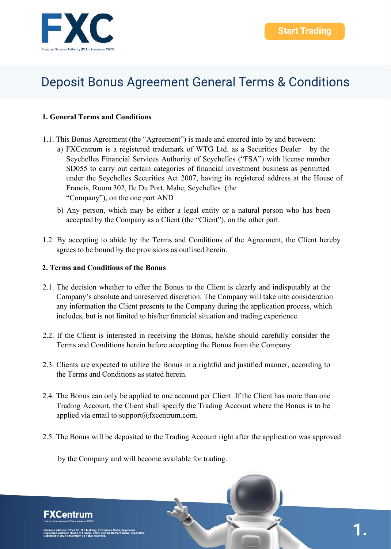### **1. General Terms and Conditions**

- 1.1. This Bonus Agreement (the "Agreement") is made and entered into by and between:
	- a) FXCentrum is a registered trademark of WTG Ltd. as a Securities Dealer by the Seychelles Financial Services Authority of Seychelles ("FSA") with license number SD055 to carry out certain categories of financial investment business as permitted under the Seychelles Securities Act 2007, having its registered address at the House of Francis, Room 302, Ile Du Port, Mahe, Seychelles (the "Company"), on the one part AND
	- b) Any person, which may be either a legal entity or a natural person who has been accepted by the Company as a Client (the "Client"), on the other part.
- 1.2. By accepting to abide by the Terms and Conditions of the Agreement, the Client hereby agrees to be bound by the provisions as outlined herein.

### **2. Terms and Conditions of the Bonus**

- 2.1. The decision whether to offer the Bonus to the Client is clearly and indisputably at the Company's absolute and unreserved discretion. The Company will take into consideration any information the Client presents to the Company during the application process, which includes, but is not limited to his/her financial situation and trading experience.
- 2.2. If the Client is interested in receiving the Bonus, he/she should carefully consider the Terms and Conditions herein before accepting the Bonus from the Company.
- 2.3. Clients are expected to utilize the Bonus in a rightful and justified manner, according to the Terms and Conditions as stated herein.
- 2.4. The Bonus can only be applied to one account per Client. If the Client has more than one Trading Account, the Client shall specify the Trading Account where the Bonus is to be applied via email to support@fxcentrum.com.
- 2.5. The Bonus will be deposited to the Trading Account right after the application was approved

by the Company and will become available for trading.

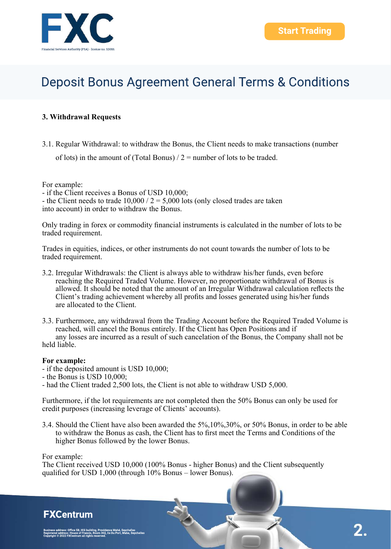### **3. Withdrawal Requests**

3.1. Regular Withdrawal: to withdraw the Bonus, the Client needs to make transactions (number

of lots) in the amount of (Total Bonus)  $/2$  = number of lots to be traded.

For example:

- if the Client receives a Bonus of USD 10,000;

- the Client needs to trade  $10,000 / 2 = 5,000$  lots (only closed trades are taken into account) in order to withdraw the Bonus.

Only trading in forex or commodity financial instruments is calculated in the number of lots to be traded requirement.

Trades in equities, indices, or other instruments do not count towards the number of lots to be traded requirement.

3.2. Irregular Withdrawals: the Client is always able to withdraw his/her funds, even before reaching the Required Traded Volume. However, no proportionate withdrawal of Bonus is allowed. It should be noted that the amount of an Irregular Withdrawal calculation reflects the Client's trading achievement whereby all profits and losses generated using his/her funds are allocated to the Client.

3.3. Furthermore, any withdrawal from the Trading Account before the Required Traded Volume is reached, will cancel the Bonus entirely. If the Client has Open Positions and if any losses are incurred as a result of such cancelation of the Bonus, the Company shall not be held liable.

#### **For example:**

- if the deposited amount is USD 10,000;
- the Bonus is USD 10,000;
- had the Client traded 2,500 lots, the Client is not able to withdraw USD 5,000.

Furthermore, if the lot requirements are not completed then the 50% Bonus can only be used for credit purposes (increasing leverage of Clients' accounts).

3.4. Should the Client have also been awarded the 5%,10%,30%, or 50% Bonus, in order to be able to withdraw the Bonus as cash, the Client has to first meet the Terms and Conditions of the higher Bonus followed by the lower Bonus.

For example:

The Client received USD 10,000 (100% Bonus - higher Bonus) and the Client subsequently qualified for USD 1,000 (through 10% Bonus – lower Bonus).

### **FXCentrum**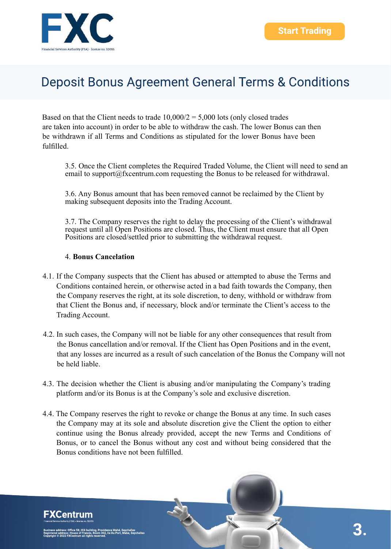

Based on that the Client needs to trade  $10,000/2 = 5,000$  lots (only closed trades are taken into account) in order to be able to withdraw the cash. The lower Bonus can then be withdrawn if all Terms and Conditions as stipulated for the lower Bonus have been fulfilled.

3.5. Once the Client completes the Required Traded Volume, the Client will need to send an email to support@fxcentrum.com requesting the Bonus to be released for withdrawal.

3.6. Any Bonus amount that has been removed cannot be reclaimed by the Client by making subsequent deposits into the Trading Account.

3.7. The Company reserves the right to delay the processing of the Client's withdrawal request until all Open Positions are closed. Thus, the Client must ensure that all Open Positions are closed/settled prior to submitting the withdrawal request.

#### 4. **Bonus Cancelation**

- 4.1. If the Company suspects that the Client has abused or attempted to abuse the Terms and Conditions contained herein, or otherwise acted in a bad faith towards the Company, then the Company reserves the right, at its sole discretion, to deny, withhold or withdraw from that Client the Bonus and, if necessary, block and/or terminate the Client's access to the Trading Account.
- 4.2. In such cases, the Company will not be liable for any other consequences that result from the Bonus cancellation and/or removal. If the Client has Open Positions and in the event, that any losses are incurred as a result of such cancelation of the Bonus the Company will not be held liable.
- 4.3. The decision whether the Client is abusing and/or manipulating the Company's trading platform and/or its Bonus is at the Company's sole and exclusive discretion.
- 4.4. The Company reserves the right to revoke or change the Bonus at any time. In such cases the Company may at its sole and absolute discretion give the Client the option to either continue using the Bonus already provided, accept the new Terms and Conditions of Bonus, or to cancel the Bonus without any cost and without being considered that the Bonus conditions have not been fulfilled.

**FXCentrum**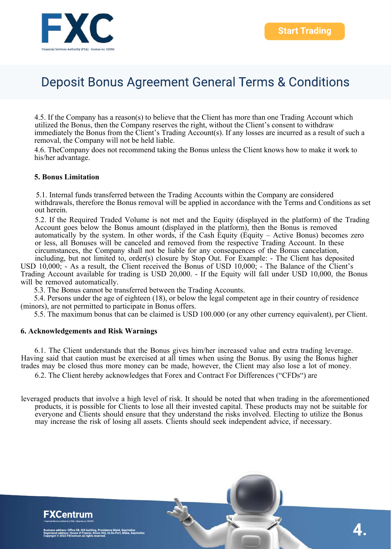4.5. If the Company has a reason(s) to believe that the Client has more than one Trading Account which utilized the Bonus, then the Company reserves the right, without the Client's consent to withdraw immediately the Bonus from the Client's Trading Account(s). If any losses are incurred as a result of such a removal, the Company will not be held liable.

4.6. TheCompany does not recommend taking the Bonus unless the Client knows how to make it work to his/her advantage.

#### **5. Bonus Limitation**

5.1. Internal funds transferred between the Trading Accounts within the Company are considered withdrawals, therefore the Bonus removal will be applied in accordance with the Terms and Conditions as set out herein.

5.2. If the Required Traded Volume is not met and the Equity (displayed in the platform) of the Trading Account goes below the Bonus amount (displayed in the platform), then the Bonus is removed automatically by the system. In other words, if the Cash Equity (Equity – Active Bonus) becomes zero or less, all Bonuses will be canceled and removed from the respective Trading Account. In these circumstances, the Company shall not be liable for any consequences of the Bonus cancelation, including, but not limited to, order(s) closure by Stop Out. For Example: - The Client has deposited

USD 10,000; - As a result, the Client received the Bonus of USD 10,000; - The Balance of the Client's Trading Account available for trading is USD 20,000. - If the Equity will fall under USD 10,000, the Bonus will be removed automatically.

5.3. The Bonus cannot be transferred between the Trading Accounts.

5.4. Persons under the age of eighteen (18), or below the legal competent age in their country of residence (minors), are not permitted to participate in Bonus offers.

5.5. The maximum bonus that can be claimed is USD 100.000 (or any other currency equivalent), per Client.

#### **6. Acknowledgements and Risk Warnings**

6.1. The Client understands that the Bonus gives him/her increased value and extra trading leverage. Having said that caution must be exercised at all times when using the Bonus. By using the Bonus higher trades may be closed thus more money can be made, however, the Client may also lose a lot of money.

6.2. The Client hereby acknowledges that Forex and Contract For Differences ("CFDs") are

leveraged products that involve a high level of risk. It should be noted that when trading in the aforementioned products, it is possible for Clients to lose all their invested capital. These products may not be suitable for everyone and Clients should ensure that they understand the risks involved. Electing to utilize the Bonus may increase the risk of losing all assets. Clients should seek independent advice, if necessary.



**-XCentrum**